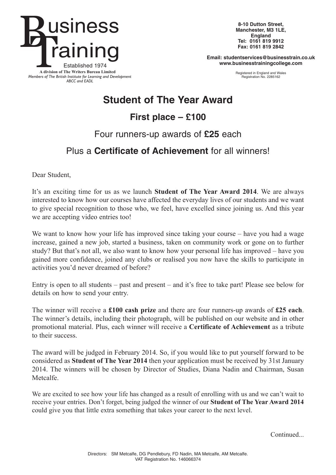

**8-10 Dutton Street, Manchester, M3 1LE, England Tel: 0161 819 9912 Fax: 0161 819 2842**

**Email: studentservices@businesstrain.co.uk www.businesstrainingcollege.com**

> Registered in England and Wales Registration No. 2285162

## **Student of The Year Award**

**First place – £100**

Four runners-up awards of **£25** each

### Plus a **Certificate of Achievement** for all winners!

Dear Student,

It's an exciting time for us as we launch **Student of The Year Award 2014**. We are always interested to know how our courses have affected the everyday lives of our students and we want to give special recognition to those who, we feel, have excelled since joining us. And this year we are accepting video entries too!

We want to know how your life has improved since taking your course – have you had a wage increase, gained a new job, started a business, taken on community work or gone on to further study? But that's not all, we also want to know how your personal life has improved – have you gained more confidence, joined any clubs or realised you now have the skills to participate in activities you'd never dreamed of before?

Entry is open to all students – past and present – and it's free to take part! Please see below for details on how to send your entry.

The winner will receive a **£100 cash prize** and there are four runners-up awards of **£25 each**. The winner's details, including their photograph, will be published on our website and in other promotional material. Plus, each winner will receive a **Certificate of Achievement** as a tribute to their success.

The award will be judged in February 2014. So, if you would like to put yourself forward to be considered as **Student of The Year 2014** then your application must be received by 31st January 2014. The winners will be chosen by Director of Studies, Diana Nadin and Chairman, Susan Metcalfe.

We are excited to see how your life has changed as a result of enrolling with us and we can't wait to receive your entries. Don't forget, being judged the winner of our **Student of The Year Award 2014** could give you that little extra something that takes your career to the next level.

Continued...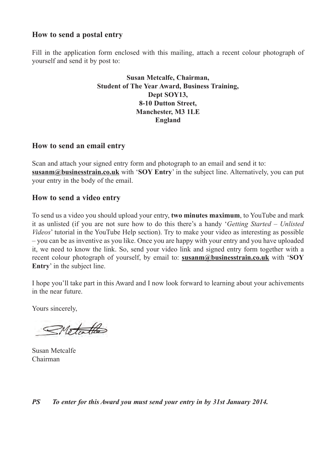#### **How to send a postal entry**

Fill in the application form enclosed with this mailing, attach a recent colour photograph of yourself and send it by post to:

#### **Susan Metcalfe, Chairman, Student of The Year Award, Business Training, Dept SOY13, 8-10 Dutton Street, Manchester, M3 1LE England**

#### **How to send an email entry**

Scan and attach your signed entry form and photograph to an email and send it to: **susanm@businesstrain.co.uk** with '**SOY Entry**' in the subject line. Alternatively, you can put your entry in the body of the email.

#### **How to send a video entry**

To send us a video you should upload your entry, **two minutes maximum**, to YouTube and mark it as unlisted (if you are not sure how to do this there's a handy '*Getting Started – Unlisted Videos*' tutorial in the YouTube Help section). Try to make your video as interesting as possible – you can be as inventive as you like. Once you are happy with your entry and you have uploaded it, we need to know the link. So, send your video link and signed entry form together with a recent colour photograph of yourself, by email to: **susanm@businesstrain.co.uk** with '**SOY Entry**' in the subject line.

I hope you'll take part in this Award and I now look forward to learning about your achivements in the near future.

Yours sincerely,

Motalle

Susan Metcalfe Chairman

*PS To enter for this Award you must send your entry in by 31st January 2014.*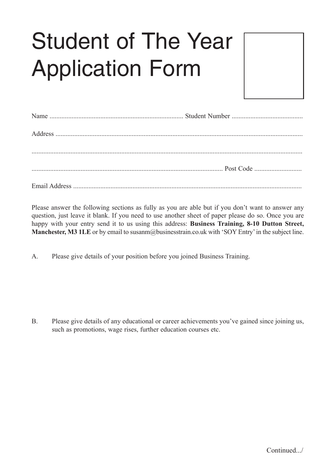# Student of The Year Application Form



Please answer the following sections as fully as you are able but if you don't want to answer any question, just leave it blank. If you need to use another sheet of paper please do so. Once you are happy with your entry send it to us using this address: **Business Training, 8-10 Dutton Street, Manchester, M3 1LE** or by email to susanm@businesstrain.co.uk with 'SOY Entry'in the subject line.

A. Please give details of your position before you joined Business Training.

B. Please give details of any educational or career achievements you've gained since joining us, such as promotions, wage rises, further education courses etc.